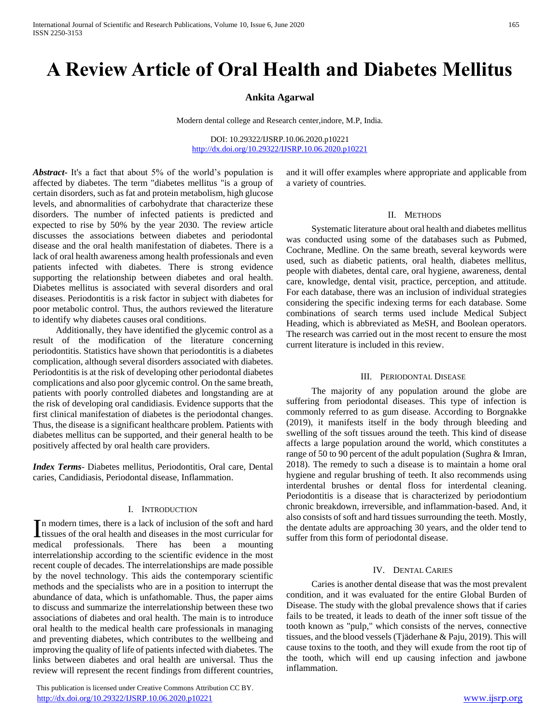# **A Review Article of Oral Health and Diabetes Mellitus**

## **Ankita Agarwal**

Modern dental college and Research center,indore, M.P, India.

DOI: 10.29322/IJSRP.10.06.2020.p10221 <http://dx.doi.org/10.29322/IJSRP.10.06.2020.p10221>

*Abstract***-** It's a fact that about 5% of the world's population is affected by diabetes. The term "diabetes mellitus "is a group of certain disorders, such as fat and protein metabolism, high glucose levels, and abnormalities of carbohydrate that characterize these disorders. The number of infected patients is predicted and expected to rise by 50% by the year 2030. The review article discusses the associations between diabetes and periodontal disease and the oral health manifestation of diabetes. There is a lack of oral health awareness among health professionals and even patients infected with diabetes. There is strong evidence supporting the relationship between diabetes and oral health. Diabetes mellitus is associated with several disorders and oral diseases. Periodontitis is a risk factor in subject with diabetes for poor metabolic control. Thus, the authors reviewed the literature to identify why diabetes causes oral conditions.

 Additionally, they have identified the glycemic control as a result of the modification of the literature concerning periodontitis. Statistics have shown that periodontitis is a diabetes complication, although several disorders associated with diabetes. Periodontitis is at the risk of developing other periodontal diabetes complications and also poor glycemic control. On the same breath, patients with poorly controlled diabetes and longstanding are at the risk of developing oral candidiasis. Evidence supports that the first clinical manifestation of diabetes is the periodontal changes. Thus, the disease is a significant healthcare problem. Patients with diabetes mellitus can be supported, and their general health to be positively affected by oral health care providers.

*Index Terms*- Diabetes mellitus, Periodontitis, Oral care, Dental caries, Candidiasis, Periodontal disease, Inflammation.

#### I. INTRODUCTION

n modern times, there is a lack of inclusion of the soft and hard In modern times, there is a lack of inclusion of the soft and hard<br>tissues of the oral health and diseases in the most curricular for<br>with the most curricular for medical professionals. There has been a mounting interrelationship according to the scientific evidence in the most recent couple of decades. The interrelationships are made possible by the novel technology. This aids the contemporary scientific methods and the specialists who are in a position to interrupt the abundance of data, which is unfathomable. Thus, the paper aims to discuss and summarize the interrelationship between these two associations of diabetes and oral health. The main is to introduce oral health to the medical health care professionals in managing and preventing diabetes, which contributes to the wellbeing and improving the quality of life of patients infected with diabetes. The links between diabetes and oral health are universal. Thus the review will represent the recent findings from different countries,

 This publication is licensed under Creative Commons Attribution CC BY. <http://dx.doi.org/10.29322/IJSRP.10.06.2020.p10221> [www.ijsrp.org](http://ijsrp.org/)

and it will offer examples where appropriate and applicable from a variety of countries.

## II. METHODS

 Systematic literature about oral health and diabetes mellitus was conducted using some of the databases such as Pubmed, Cochrane, Medline. On the same breath, several keywords were used, such as diabetic patients, oral health, diabetes mellitus, people with diabetes, dental care, oral hygiene, awareness, dental care, knowledge, dental visit, practice, perception, and attitude. For each database, there was an inclusion of individual strategies considering the specific indexing terms for each database. Some combinations of search terms used include Medical Subject Heading, which is abbreviated as MeSH, and Boolean operators. The research was carried out in the most recent to ensure the most current literature is included in this review.

## III. PERIODONTAL DISEASE

 The majority of any population around the globe are suffering from periodontal diseases. This type of infection is commonly referred to as gum disease. According to Borgnakke (2019), it manifests itself in the body through bleeding and swelling of the soft tissues around the teeth. This kind of disease affects a large population around the world, which constitutes a range of 50 to 90 percent of the adult population (Sughra & Imran, 2018). The remedy to such a disease is to maintain a home oral hygiene and regular brushing of teeth. It also recommends using interdental brushes or dental floss for interdental cleaning. Periodontitis is a disease that is characterized by periodontium chronic breakdown, irreversible, and inflammation-based. And, it also consists of soft and hard tissues surrounding the teeth. Mostly, the dentate adults are approaching 30 years, and the older tend to suffer from this form of periodontal disease.

## IV. DENTAL CARIES

 Caries is another dental disease that was the most prevalent condition, and it was evaluated for the entire Global Burden of Disease. The study with the global prevalence shows that if caries fails to be treated, it leads to death of the inner soft tissue of the tooth known as "pulp," which consists of the nerves, connective tissues, and the blood vessels (Tjäderhane & Paju, 2019). This will cause toxins to the tooth, and they will exude from the root tip of the tooth, which will end up causing infection and jawbone inflammation.